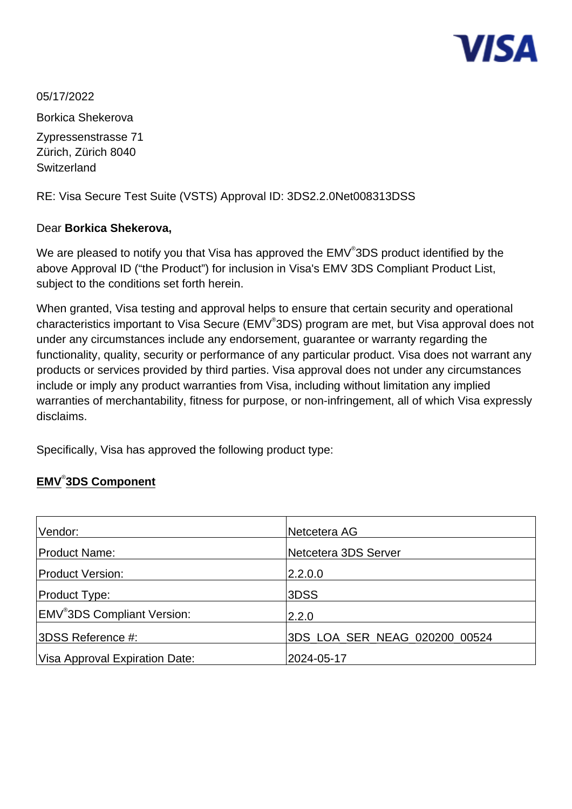

05/17/2022 Borkica Shekerova Zypressenstrasse 71 Zürich, Zürich 8040 **Switzerland** 

RE: Visa Secure Test Suite (VSTS) Approval ID: 3DS2.2.0Net008313DSS

## Dear **Borkica Shekerova,**

We are pleased to notify you that Visa has approved the EMV $^\circ$ 3DS product identified by the above Approval ID ("the Product") for inclusion in Visa's EMV 3DS Compliant Product List, subject to the conditions set forth herein.

When granted, Visa testing and approval helps to ensure that certain security and operational characteristics important to Visa Secure (EMV<sup>®</sup>3DS) program are met, but Visa approval does not under any circumstances include any endorsement, guarantee or warranty regarding the functionality, quality, security or performance of any particular product. Visa does not warrant any products or services provided by third parties. Visa approval does not under any circumstances include or imply any product warranties from Visa, including without limitation any implied warranties of merchantability, fitness for purpose, or non-infringement, all of which Visa expressly disclaims.

Specifically, Visa has approved the following product type:

# **EMV**® **3DS Component**

| Vendor:                                      | Netcetera AG                  |
|----------------------------------------------|-------------------------------|
| Product Name:                                | Netcetera 3DS Server          |
| <b>Product Version:</b>                      | 2.2.0.0                       |
| <b>Product Type:</b>                         | 3DSS                          |
| <b>EMV<sup>®</sup>3DS Compliant Version:</b> | 2.2.0                         |
| 3DSS Reference #:                            | 3DS LOA SER NEAG 020200 00524 |
| Visa Approval Expiration Date:               | 2024-05-17                    |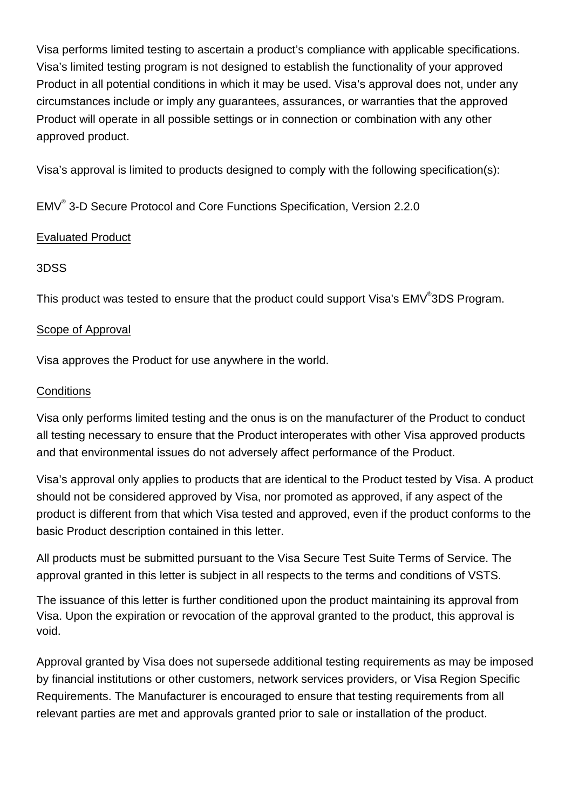Visa performs limited testing to ascertain a product's compliance with applicable specifications. Visa's limited testing program is not designed to establish the functionality of your approved Product in all potential conditions in which it may be used. Visa's approval does not, under any circumstances include or imply any guarantees, assurances, or warranties that the approved Product will operate in all possible settings or in connection or combination with any other approved product.

Visa's approval is limited to products designed to comply with the following specification(s):

EMV® 3-D Secure Protocol and Core Functions Specification, Version 2.2.0

## Evaluated Product

## 3DSS

This product was tested to ensure that the product could support Visa's EMV<sup>®</sup>3DS Program.

#### Scope of Approval

Visa approves the Product for use anywhere in the world.

#### **Conditions**

Visa only performs limited testing and the onus is on the manufacturer of the Product to conduct all testing necessary to ensure that the Product interoperates with other Visa approved products and that environmental issues do not adversely affect performance of the Product.

Visa's approval only applies to products that are identical to the Product tested by Visa. A product should not be considered approved by Visa, nor promoted as approved, if any aspect of the product is different from that which Visa tested and approved, even if the product conforms to the basic Product description contained in this letter.

All products must be submitted pursuant to the Visa Secure Test Suite Terms of Service. The approval granted in this letter is subject in all respects to the terms and conditions of VSTS.

The issuance of this letter is further conditioned upon the product maintaining its approval from Visa. Upon the expiration or revocation of the approval granted to the product, this approval is void.

Approval granted by Visa does not supersede additional testing requirements as may be imposed by financial institutions or other customers, network services providers, or Visa Region Specific Requirements. The Manufacturer is encouraged to ensure that testing requirements from all relevant parties are met and approvals granted prior to sale or installation of the product.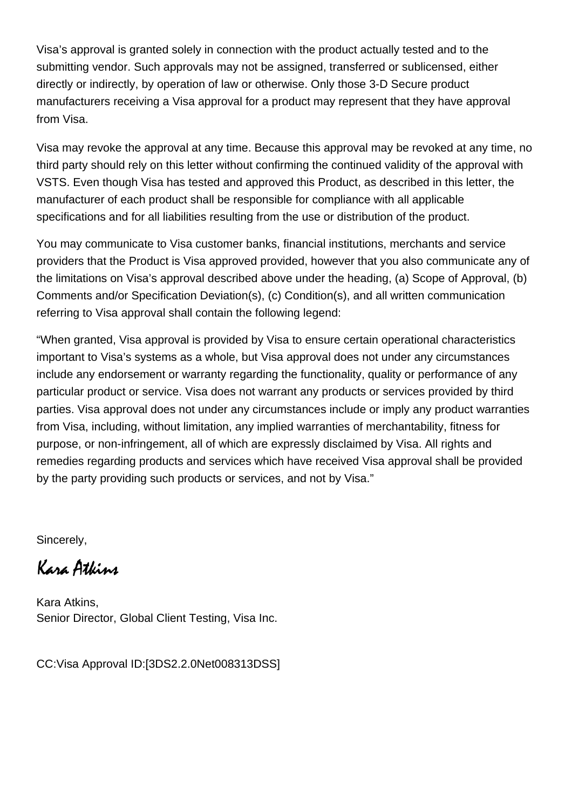Visa's approval is granted solely in connection with the product actually tested and to the submitting vendor. Such approvals may not be assigned, transferred or sublicensed, either directly or indirectly, by operation of law or otherwise. Only those 3-D Secure product manufacturers receiving a Visa approval for a product may represent that they have approval from Visa.

Visa may revoke the approval at any time. Because this approval may be revoked at any time, no third party should rely on this letter without confirming the continued validity of the approval with VSTS. Even though Visa has tested and approved this Product, as described in this letter, the manufacturer of each product shall be responsible for compliance with all applicable specifications and for all liabilities resulting from the use or distribution of the product.

You may communicate to Visa customer banks, financial institutions, merchants and service providers that the Product is Visa approved provided, however that you also communicate any of the limitations on Visa's approval described above under the heading, (a) Scope of Approval, (b) Comments and/or Specification Deviation(s), (c) Condition(s), and all written communication referring to Visa approval shall contain the following legend:

"When granted, Visa approval is provided by Visa to ensure certain operational characteristics important to Visa's systems as a whole, but Visa approval does not under any circumstances include any endorsement or warranty regarding the functionality, quality or performance of any particular product or service. Visa does not warrant any products or services provided by third parties. Visa approval does not under any circumstances include or imply any product warranties from Visa, including, without limitation, any implied warranties of merchantability, fitness for purpose, or non-infringement, all of which are expressly disclaimed by Visa. All rights and remedies regarding products and services which have received Visa approval shall be provided by the party providing such products or services, and not by Visa."

Sincerely,

Kara Atkins

Kara Atkins, Senior Director, Global Client Testing, Visa Inc.

CC:Visa Approval ID:[3DS2.2.0Net008313DSS]